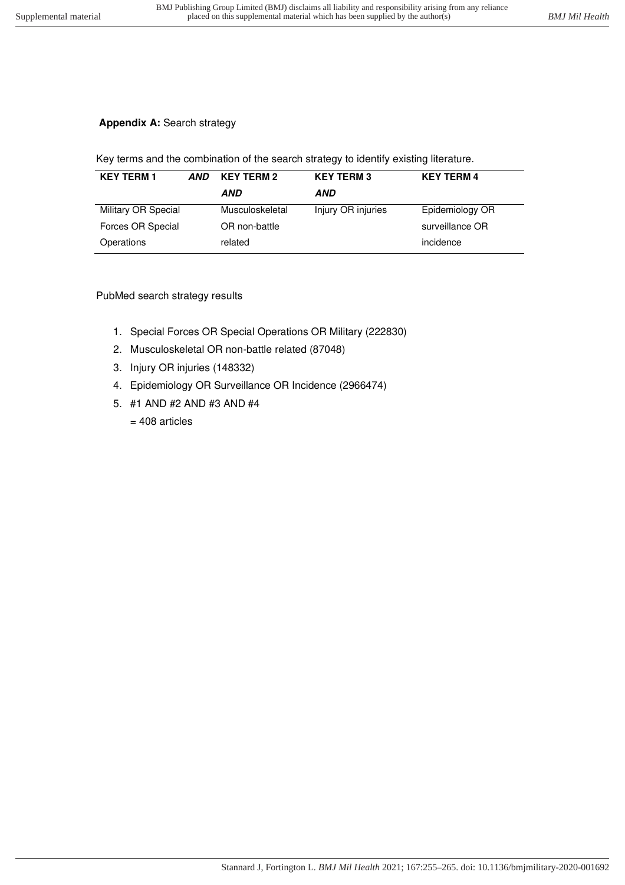# **Appendix A: Search strategy**

Key terms and the combination of the search strategy to identify existing literature.

| <b>KEY TERM 1</b>   | AND | <b>KEY TERM 2</b> | <b>KEY TERM 3</b>  | <b>KEY TERM 4</b> |  |
|---------------------|-----|-------------------|--------------------|-------------------|--|
|                     |     | AND               | AND                |                   |  |
| Military OR Special |     | Musculoskeletal   | Injury OR injuries | Epidemiology OR   |  |
| Forces OR Special   |     | OR non-battle     |                    | surveillance OR   |  |
| Operations          |     | related           |                    | incidence         |  |

# PubMed search strategy results

- 1. Special Forces OR Special Operations OR Military (222830)
- 2. Musculoskeletal OR non-battle related (87048)
- 3. Injury OR injuries (148332)
- 4. Epidemiology OR Surveillance OR Incidence (2966474)
- 5. #1 AND #2 AND #3 AND #4
	- $= 408$  articles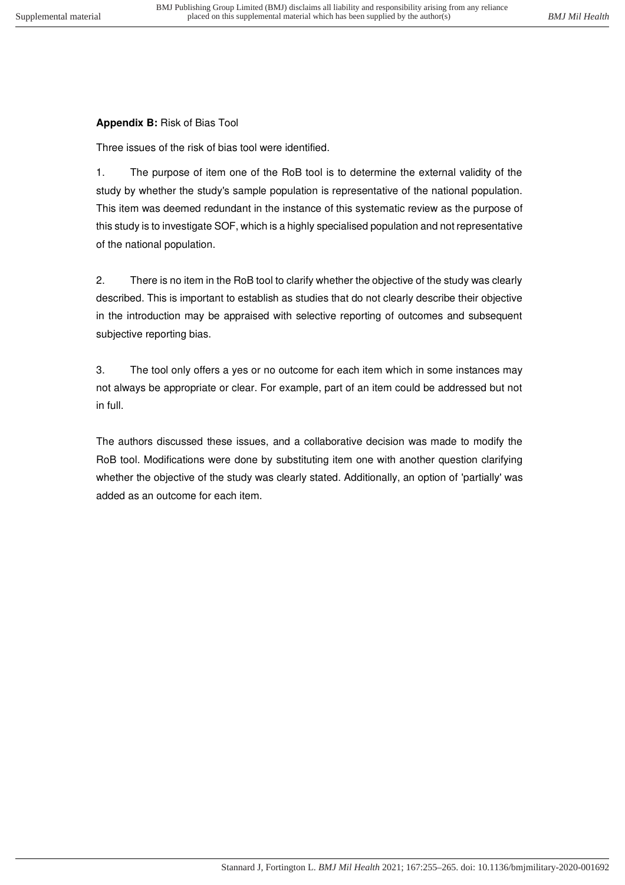### **Appendix B:** Risk of Bias Tool

Three issues of the risk of bias tool were identified.

1. The purpose of item one of the RoB tool is to determine the external validity of the study by whether the study's sample population is representative of the national population. This item was deemed redundant in the instance of this systematic review as the purpose of this study is to investigate SOF, which is a highly specialised population and not representative of the national population.

2. There is no item in the RoB tool to clarify whether the objective of the study was clearly described. This is important to establish as studies that do not clearly describe their objective in the introduction may be appraised with selective reporting of outcomes and subsequent subjective reporting bias.

3. The tool only offers a yes or no outcome for each item which in some instances may not always be appropriate or clear. For example, part of an item could be addressed but not in full.

The authors discussed these issues, and a collaborative decision was made to modify the RoB tool. Modifications were done by substituting item one with another question clarifying whether the objective of the study was clearly stated. Additionally, an option of 'partially' was added as an outcome for each item.